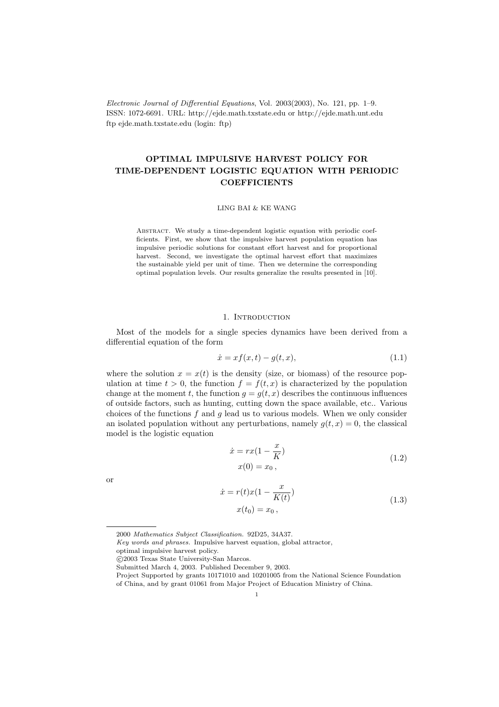Electronic Journal of Differential Equations, Vol. 2003(2003), No. 121, pp. 1–9. ISSN: 1072-6691. URL: http://ejde.math.txstate.edu or http://ejde.math.unt.edu ftp ejde.math.txstate.edu (login: ftp)

# OPTIMAL IMPULSIVE HARVEST POLICY FOR TIME-DEPENDENT LOGISTIC EQUATION WITH PERIODIC **COEFFICIENTS**

LING BAI & KE WANG

ABSTRACT. We study a time-dependent logistic equation with periodic coefficients. First, we show that the impulsive harvest population equation has impulsive periodic solutions for constant effort harvest and for proportional harvest. Second, we investigate the optimal harvest effort that maximizes the sustainable yield per unit of time. Then we determine the corresponding optimal population levels. Our results generalize the results presented in [10].

## 1. INTRODUCTION

Most of the models for a single species dynamics have been derived from a differential equation of the form

$$
\dot{x} = xf(x, t) - g(t, x),\tag{1.1}
$$

where the solution  $x = x(t)$  is the density (size, or biomass) of the resource population at time  $t > 0$ , the function  $f = f(t, x)$  is characterized by the population change at the moment t, the function  $q = q(t, x)$  describes the continuous influences of outside factors, such as hunting, cutting down the space available, etc.. Various choices of the functions  $f$  and  $g$  lead us to various models. When we only consider an isolated population without any perturbations, namely  $q(t, x) = 0$ , the classical model is the logistic equation

$$
\begin{aligned}\n\dot{x} &= rx(1 - \frac{x}{K})\\
x(0) &= x_0,\n\end{aligned} \tag{1.2}
$$

or

$$
\begin{aligned} \dot{x} &= r(t)x(1 - \frac{x}{K(t)})\\ x(t_0) &= x_0 \,, \end{aligned} \tag{1.3}
$$

<sup>2000</sup> Mathematics Subject Classification. 92D25, 34A37.

Key words and phrases. Impulsive harvest equation, global attractor,

optimal impulsive harvest policy.

c 2003 Texas State University-San Marcos.

Submitted March 4, 2003. Published December 9, 2003.

Project Supported by grants 10171010 and 10201005 from the National Science Foundation of China, and by grant 01061 from Major Project of Education Ministry of China.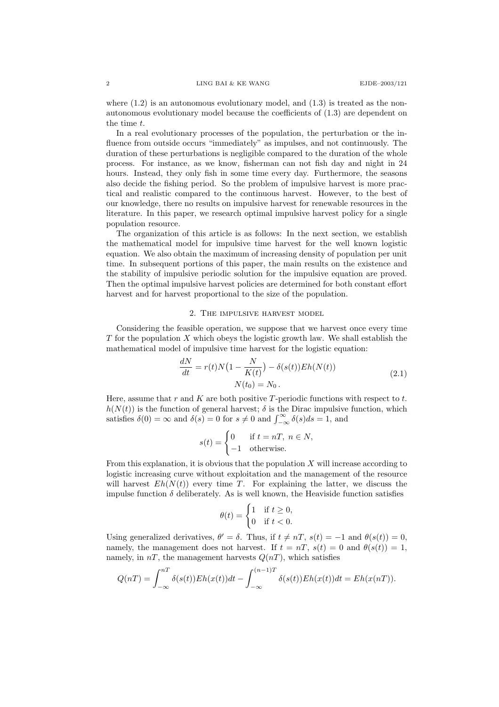where  $(1.2)$  is an autonomous evolutionary model, and  $(1.3)$  is treated as the nonautonomous evolutionary model because the coefficients of (1.3) are dependent on the time t.

In a real evolutionary processes of the population, the perturbation or the influence from outside occurs "immediately" as impulses, and not continuously. The duration of these perturbations is negligible compared to the duration of the whole process. For instance, as we know, fisherman can not fish day and night in 24 hours. Instead, they only fish in some time every day. Furthermore, the seasons also decide the fishing period. So the problem of impulsive harvest is more practical and realistic compared to the continuous harvest. However, to the best of our knowledge, there no results on impulsive harvest for renewable resources in the literature. In this paper, we research optimal impulsive harvest policy for a single population resource.

The organization of this article is as follows: In the next section, we establish the mathematical model for impulsive time harvest for the well known logistic equation. We also obtain the maximum of increasing density of population per unit time. In subsequent portions of this paper, the main results on the existence and the stability of impulsive periodic solution for the impulsive equation are proved. Then the optimal impulsive harvest policies are determined for both constant effort harvest and for harvest proportional to the size of the population.

## 2. The impulsive harvest model

Considering the feasible operation, we suppose that we harvest once every time  $T$  for the population  $X$  which obeys the logistic growth law. We shall establish the mathematical model of impulsive time harvest for the logistic equation:

$$
\frac{dN}{dt} = r(t)N(1 - \frac{N}{K(t)}) - \delta(s(t))Eh(N(t))
$$
\n
$$
N(t_0) = N_0.
$$
\n(2.1)

Here, assume that  $r$  and  $K$  are both positive  $T$ -periodic functions with respect to  $t$ .  $h(N(t))$  is the function of general harvest;  $\delta$  is the Dirac impulsive function, which satisfies  $\delta(0) = \infty$  and  $\delta(s) = 0$  for  $s \neq 0$  and  $\int_{-\infty}^{\infty} \delta(s)ds = 1$ , and

$$
s(t) = \begin{cases} 0 & \text{if } t = nT, \ n \in N, \\ -1 & \text{otherwise.} \end{cases}
$$

From this explanation, it is obvious that the population  $X$  will increase according to logistic increasing curve without exploitation and the management of the resource will harvest  $Eh(N(t))$  every time T. For explaining the latter, we discuss the impulse function  $\delta$  deliberately. As is well known, the Heaviside function satisfies

$$
\theta(t) = \begin{cases} 1 & \text{if } t \ge 0, \\ 0 & \text{if } t < 0. \end{cases}
$$

Using generalized derivatives,  $\theta' = \delta$ . Thus, if  $t \neq nT$ ,  $s(t) = -1$  and  $\theta(s(t)) = 0$ , namely, the management does not harvest. If  $t = nT$ ,  $s(t) = 0$  and  $\theta(s(t)) = 1$ , namely, in  $nT$ , the management harvests  $Q(nT)$ , which satisfies

$$
Q(nT) = \int_{-\infty}^{nT} \delta(s(t)) Eh(x(t))dt - \int_{-\infty}^{(n-1)T} \delta(s(t)) Eh(x(t))dt = Eh(x(nT)).
$$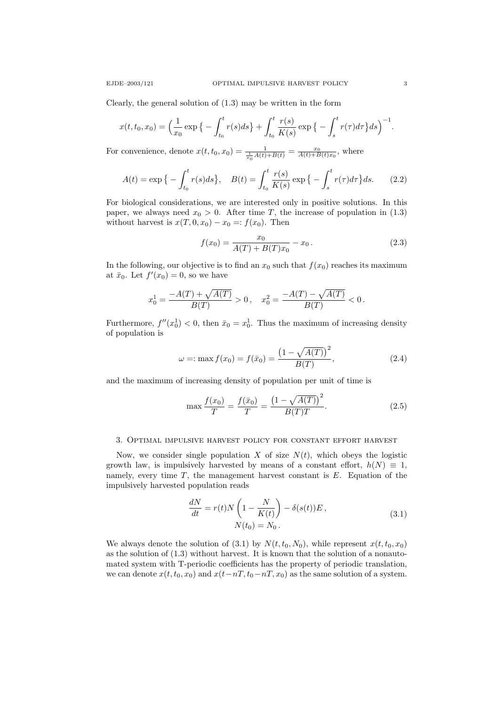Clearly, the general solution of (1.3) may be written in the form

$$
x(t, t_0, x_0) = \left(\frac{1}{x_0} \exp\left\{-\int_{t_0}^t r(s)ds\right\} + \int_{t_0}^t \frac{r(s)}{K(s)} \exp\left\{-\int_s^t r(\tau) d\tau\right\} ds\right)^{-1}.
$$

For convenience, denote  $x(t, t_0, x_0) = \frac{1}{\frac{1}{x_0} A(t) + B(t)} = \frac{x_0}{A(t) + B(t)x_0}$ , where

$$
A(t) = \exp\left\{-\int_{t_0}^t r(s)ds\right\}, \quad B(t) = \int_{t_0}^t \frac{r(s)}{K(s)} \exp\left\{-\int_s^t r(\tau)d\tau\right\} ds. \tag{2.2}
$$

For biological considerations, we are interested only in positive solutions. In this paper, we always need  $x_0 > 0$ . After time T, the increase of population in (1.3) without harvest is  $x(T, 0, x_0) - x_0 =: f(x_0)$ . Then

$$
f(x_0) = \frac{x_0}{A(T) + B(T)x_0} - x_0.
$$
\n(2.3)

In the following, our objective is to find an  $x_0$  such that  $f(x_0)$  reaches its maximum at  $\bar{x}_0$ . Let  $f'(x_0) = 0$ , so we have

$$
x_0^1 = \frac{-A(T) + \sqrt{A(T)}}{B(T)} > 0, \quad x_0^2 = \frac{-A(T) - \sqrt{A(T)}}{B(T)} < 0.
$$

Furthermore,  $f''(x_0^1) < 0$ , then  $\bar{x}_0 = x_0^1$ . Thus the maximum of increasing density of population is

$$
\omega =: \max f(x_0) = f(\bar{x}_0) = \frac{\left(1 - \sqrt{A(T)}\right)^2}{B(T)},\tag{2.4}
$$

and the maximum of increasing density of population per unit of time is

$$
\max \frac{f(x_0)}{T} = \frac{f(\bar{x}_0)}{T} = \frac{\left(1 - \sqrt{A(T)}\right)^2}{B(T)T}.
$$
\n(2.5)

 $\overline{a}$ 

#### 3. Optimal impulsive harvest policy for constant effort harvest

Now, we consider single population X of size  $N(t)$ , which obeys the logistic growth law, is impulsively harvested by means of a constant effort,  $h(N) \equiv 1$ , namely, every time  $T$ , the management harvest constant is  $E$ . Equation of the impulsively harvested population reads

$$
\frac{dN}{dt} = r(t)N\left(1 - \frac{N}{K(t)}\right) - \delta(s(t))E,
$$
\n
$$
N(t_0) = N_0.
$$
\n(3.1)

We always denote the solution of (3.1) by  $N(t, t_0, N_0)$ , while represent  $x(t, t_0, x_0)$ as the solution of (1.3) without harvest. It is known that the solution of a nonautomated system with T-periodic coefficients has the property of periodic translation, we can denote  $x(t, t_0, x_0)$  and  $x(t-nT, t_0-nT, x_0)$  as the same solution of a system.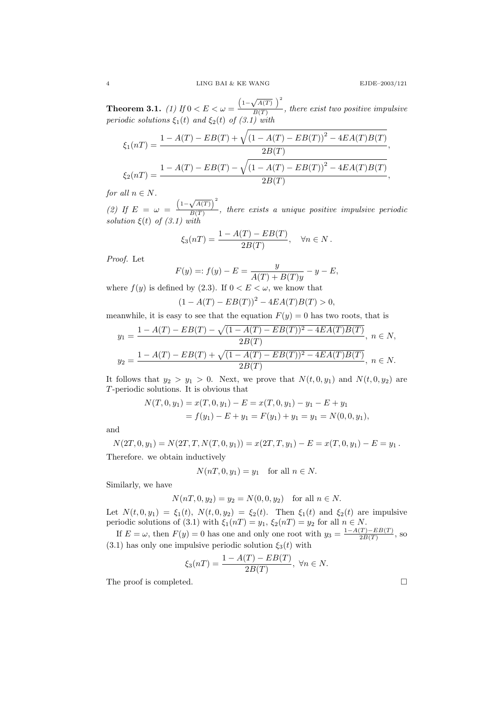Theorem 3.1. *(1)* If  $0 < E < \omega =$  $\left(1-\sqrt{A(T)}\right)^2$  $\frac{\sqrt{N(N-1)}}{B(T)}$ , there exist two positive impulsive periodic solutions  $\xi_1(t)$  and  $\xi_2(t)$  of (3.1) with

$$
\xi_1(nT) = \frac{1 - A(T) - EB(T) + \sqrt{(1 - A(T) - EB(T))^{2} - 4EA(T)B(T)}}{2B(T)},
$$
  

$$
\xi_2(nT) = \frac{1 - A(T) - EB(T) - \sqrt{(1 - A(T) - EB(T))^{2} - 4EA(T)B(T)}}{2B(T)},
$$

for all  $n \in N$ .

(2) If  $E = \omega =$  $\left(1-\sqrt{A(T)}\right)^2$  $\frac{\sqrt{B(T)}}{B(T)}$ , there exists a unique positive impulsive periodic solution  $\xi(t)$  of (3.1) with

$$
\xi_3(nT) = \frac{1 - A(T) - EB(T)}{2B(T)}, \quad \forall n \in N.
$$

Proof. Let

$$
F(y) =: f(y) - E = \frac{y}{A(T) + B(T)y} - y - E,
$$

where  $f(y)$  is defined by (2.3). If  $0 < E < \omega$ , we know that

$$
(1 - A(T) - EB(T))^{2} - 4EA(T)B(T) > 0,
$$

meanwhile, it is easy to see that the equation  $F(y) = 0$  has two roots, that is

$$
y_1 = \frac{1 - A(T) - EB(T) - \sqrt{(1 - A(T) - EB(T))^{2} - 4EA(T)B(T)}}{2B(T)}, n \in N,
$$
  

$$
y_2 = \frac{1 - A(T) - EB(T) + \sqrt{(1 - A(T) - EB(T))^{2} - 4EA(T)B(T)}}{2B(T)}, n \in N.
$$

It follows that  $y_2 > y_1 > 0$ . Next, we prove that  $N(t, 0, y_1)$  and  $N(t, 0, y_2)$  are T-periodic solutions. It is obvious that

$$
N(T,0,y_1) = x(T,0,y_1) - E = x(T,0,y_1) - y_1 - E + y_1
$$
  
=  $f(y_1) - E + y_1 = F(y_1) + y_1 = y_1 = N(0,0,y_1),$ 

and

$$
N(2T, 0, y_1) = N(2T, T, N(T, 0, y_1)) = x(2T, T, y_1) - E = x(T, 0, y_1) - E = y_1.
$$
  
Therefore, we obtain inductively

$$
N(nT, 0, y_1) = y_1 \quad \text{for all } n \in N.
$$

Similarly, we have

$$
N(nT, 0, y_2) = y_2 = N(0, 0, y_2) \text{ for all } n \in N.
$$

Let  $N(t, 0, y_1) = \xi_1(t)$ ,  $N(t, 0, y_2) = \xi_2(t)$ . Then  $\xi_1(t)$  and  $\xi_2(t)$  are impulsive periodic solutions of (3.1) with  $\xi_1(nT) = y_1$ ,  $\xi_2(nT) = y_2$  for all  $n \in N$ .

If  $E = \omega$ , then  $F(y) = 0$  has one and only one root with  $y_3 = \frac{1 - A(T) - E(B(T))}{2B(T)}$  $\frac{(1) - EB(1)}{2B(T)}$ , so (3.1) has only one impulsive periodic solution  $\xi_3(t)$  with

$$
\xi_3(nT) = \frac{1 - A(T) - EB(T)}{2B(T)}, \ \forall n \in N.
$$

The proof is completed.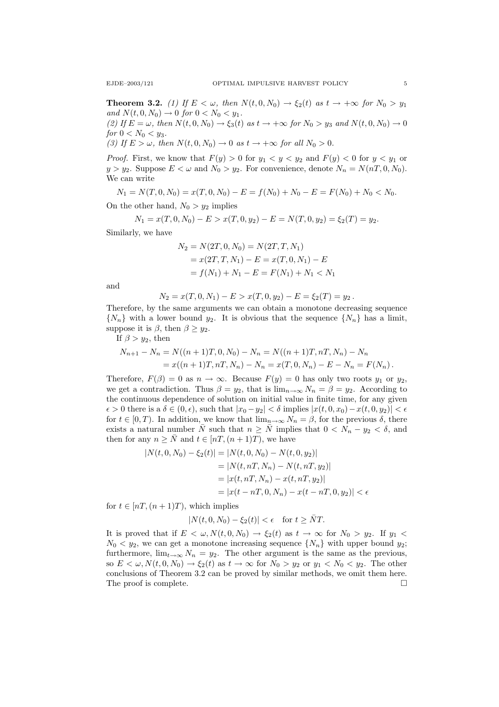**Theorem 3.2.** (1) If  $E < \omega$ , then  $N(t, 0, N_0) \rightarrow \xi_2(t)$  as  $t \rightarrow +\infty$  for  $N_0 > y_1$ and  $N(t, 0, N_0) \to 0$  for  $0 < N_0 < y_1$ . (2) If  $E = \omega$ , then  $N(t, 0, N_0) \rightarrow \xi_3(t)$  as  $t \rightarrow +\infty$  for  $N_0 > y_3$  and  $N(t, 0, N_0) \rightarrow 0$ 

for  $0 < N_0 < y_3$ . (3) If  $E > \omega$ , then  $N(t, 0, N_0) \rightarrow 0$  as  $t \rightarrow +\infty$  for all  $N_0 > 0$ .

*Proof.* First, we know that  $F(y) > 0$  for  $y_1 < y < y_2$  and  $F(y) < 0$  for  $y < y_1$  or  $y > y_2$ . Suppose  $E < \omega$  and  $N_0 > y_2$ . For convenience, denote  $N_n = N(nT, 0, N_0)$ . We can write

 $N_1 = N(T, 0, N_0) = x(T, 0, N_0) - E = f(N_0) + N_0 - E = F(N_0) + N_0 < N_0$ .

On the other hand,  $N_0 > y_2$  implies

$$
N_1 = x(T, 0, N_0) - E > x(T, 0, y_2) - E = N(T, 0, y_2) = \xi_2(T) = y_2.
$$

Similarly, we have

$$
N_2 = N(2T, 0, N_0) = N(2T, T, N_1)
$$
  
=  $x(2T, T, N_1) - E = x(T, 0, N_1) - E$   
=  $f(N_1) + N_1 - E = F(N_1) + N_1 < N_1$ 

and

$$
N_2 = x(T, 0, N_1) - E > x(T, 0, y_2) - E = \xi_2(T) = y_2.
$$

Therefore, by the same arguments we can obtain a monotone decreasing sequence  $\{N_n\}$  with a lower bound  $y_2$ . It is obvious that the sequence  $\{N_n\}$  has a limit, suppose it is  $\beta$ , then  $\beta \geq y_2$ .

If  $\beta > y_2$ , then

$$
N_{n+1} - N_n = N((n+1)T, 0, N_0) - N_n = N((n+1)T, nT, N_n) - N_n
$$
  
=  $x((n+1)T, nT, N_n) - N_n = x(T, 0, N_n) - E - N_n = F(N_n)$ .

Therefore,  $F(\beta) = 0$  as  $n \to \infty$ . Because  $F(y) = 0$  has only two roots  $y_1$  or  $y_2$ , we get a contradiction. Thus  $\beta = y_2$ , that is  $\lim_{n\to\infty} N_n = \beta = y_2$ . According to the continuous dependence of solution on initial value in finite time, for any given  $\epsilon > 0$  there is a  $\delta \in (0, \epsilon)$ , such that  $|x_0 - y_2| < \delta$  implies  $|x(t, 0, x_0) - x(t, 0, y_2)| < \epsilon$ for  $t \in [0, T)$ . In addition, we know that  $\lim_{n \to \infty} N_n = \beta$ , for the previous  $\delta$ , there exists a natural number  $\overline{N}$  such that  $n \geq \overline{N}$  implies that  $0 < N_n - y_2 < \delta$ , and then for any  $n \geq \overline{N}$  and  $t \in [nT,(n+1)T)$ , we have

$$
|N(t, 0, N_0) - \xi_2(t)| = |N(t, 0, N_0) - N(t, 0, y_2)|
$$
  
= |N(t, nT, N\_n) - N(t, nT, y\_2)|  
= |x(t, nT, N\_n) - x(t, nT, y\_2)|  
= |x(t - nT, 0, N\_n) - x(t - nT, 0, y\_2)| < \epsilon

for  $t \in [nT,(n+1)T)$ , which implies

$$
|N(t,0,N_0) - \xi_2(t)| < \epsilon \quad \text{for } t \ge \bar{N}T.
$$

It is proved that if  $E < \omega, N(t, 0, N_0) \rightarrow \xi_2(t)$  as  $t \rightarrow \infty$  for  $N_0 > y_2$ . If  $y_1 <$  $N_0 < y_2$ , we can get a monotone increasing sequence  $\{N_n\}$  with upper bound  $y_2$ ; furthermore,  $\lim_{t\to\infty} N_n = y_2$ . The other argument is the same as the previous, so  $E < \omega, N(t, 0, N_0) \rightarrow \xi_2(t)$  as  $t \rightarrow \infty$  for  $N_0 > y_2$  or  $y_1 < N_0 < y_2$ . The other conclusions of Theorem 3.2 can be proved by similar methods, we omit them here. The proof is complete.  $\Box$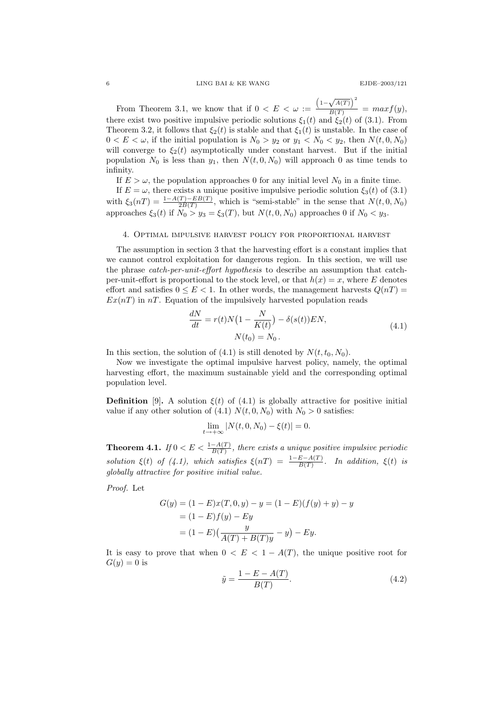6 LING BAI & KE WANG EJDE–2003/121

From Theorem 3.1, we know that if  $0 < E < \omega :=$  $\left(1-\sqrt{A(T)}\right)^2$  $\frac{y(y)}{B(T)} = max f(y),$ there exist two positive impulsive periodic solutions  $\xi_1(t)$  and  $\xi_2(t)$  of (3.1). From Theorem 3.2, it follows that  $\xi_2(t)$  is stable and that  $\xi_1(t)$  is unstable. In the case of  $0 < E < \omega$ , if the initial population is  $N_0 > y_2$  or  $y_1 < N_0 < y_2$ , then  $N(t, 0, N_0)$ will converge to  $\xi_2(t)$  asymptotically under constant harvest. But if the initial population  $N_0$  is less than  $y_1$ , then  $N(t, 0, N_0)$  will approach 0 as time tends to infinity.

If  $E > \omega$ , the population approaches 0 for any initial level  $N_0$  in a finite time.

If  $E = \omega$ , there exists a unique positive impulsive periodic solution  $\xi_3(t)$  of (3.1) with  $\xi_3(nT) = \frac{1-A(T)-EB(T)}{2B(T)}$ , which is "semi-stable" in the sense that  $N(t,0,N_0)$ approaches  $\xi_3(t)$  if  $N_0 > y_3 = \xi_3(T)$ , but  $N(t, 0, N_0)$  approaches 0 if  $N_0 < y_3$ .

## 4. Optimal impulsive harvest policy for proportional harvest

The assumption in section 3 that the harvesting effort is a constant implies that we cannot control exploitation for dangerous region. In this section, we will use the phrase *catch-per-unit-effort hypothesis* to describe an assumption that catchper-unit-effort is proportional to the stock level, or that  $h(x) = x$ , where E denotes effort and satisfies  $0 \leq E \leq 1$ . In other words, the management harvests  $Q(nT)$  $Ex(nT)$  in nT. Equation of the impulsively harvested population reads

$$
\frac{dN}{dt} = r(t)N\left(1 - \frac{N}{K(t)}\right) - \delta(s(t))EN,
$$
\n
$$
N(t_0) = N_0.
$$
\n(4.1)

In this section, the solution of (4.1) is still denoted by  $N(t, t_0, N_0)$ .

Now we investigate the optimal impulsive harvest policy, namely, the optimal harvesting effort, the maximum sustainable yield and the corresponding optimal population level.

**Definition** [9]. A solution  $\xi(t)$  of (4.1) is globally attractive for positive initial value if any other solution of (4.1)  $N(t, 0, N_0)$  with  $N_0 > 0$  satisfies:

$$
\lim_{t \to +\infty} |N(t, 0, N_0) - \xi(t)| = 0.
$$

**Theorem 4.1.** If  $0 < E < \frac{1-A(T)}{B(T)}$ , there exists a unique positive impulsive periodic solution  $\xi(t)$  of (4.1), which satisfies  $\xi(nT) = \frac{1-E-A(T)}{B(T)}$ . In addition,  $\xi(t)$  is globally attractive for positive initial value.

Proof. Let

$$
G(y) = (1 - E)x(T, 0, y) - y = (1 - E)(f(y) + y) - y
$$
  
= (1 - E)f(y) - Ey  
= (1 - E)\left(\frac{y}{A(T) + B(T)y} - y\right) - Ey.

It is easy to prove that when  $0 < E < 1 - A(T)$ , the unique positive root for  $G(y) = 0$  is

$$
\tilde{y} = \frac{1 - E - A(T)}{B(T)}.
$$
\n(4.2)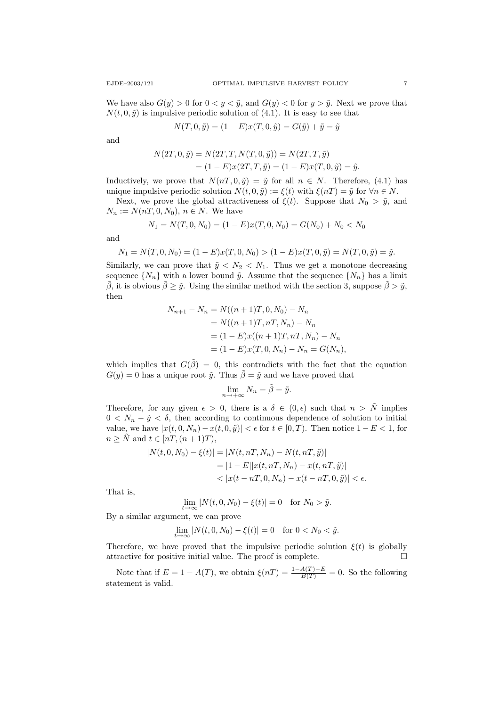We have also  $G(y) > 0$  for  $0 < y < \tilde{y}$ , and  $G(y) < 0$  for  $y > \tilde{y}$ . Next we prove that  $N(t, 0, \tilde{y})$  is impulsive periodic solution of (4.1). It is easy to see that

$$
N(T, 0, \tilde{y}) = (1 - E)x(T, 0, \tilde{y}) = G(\tilde{y}) + \tilde{y} = \tilde{y}
$$

and

$$
N(2T, 0, \tilde{y}) = N(2T, T, N(T, 0, \tilde{y})) = N(2T, T, \tilde{y})
$$
  
=  $(1 - E)x(2T, T, \tilde{y}) = (1 - E)x(T, 0, \tilde{y}) = \tilde{y}.$ 

Inductively, we prove that  $N(n, 0, \tilde{y}) = \tilde{y}$  for all  $n \in N$ . Therefore, (4.1) has unique impulsive periodic solution  $N(t, 0, \tilde{y}) := \xi(t)$  with  $\xi(nT) = \tilde{y}$  for  $\forall n \in N$ .

Next, we prove the global attractiveness of  $\xi(t)$ . Suppose that  $N_0 > \tilde{y}$ , and  $N_n := N(nT, 0, N_0), n \in N$ . We have

$$
N_1 = N(T, 0, N_0) = (1 - E)x(T, 0, N_0) = G(N_0) + N_0 < N_0
$$

and

$$
N_1 = N(T, 0, N_0) = (1 - E)x(T, 0, N_0) > (1 - E)x(T, 0, \tilde{y}) = N(T, 0, \tilde{y}) = \tilde{y}.
$$

Similarly, we can prove that  $\tilde{y} < N_2 < N_1$ . Thus we get a monotone decreasing sequence  $\{N_n\}$  with a lower bound  $\tilde{y}$ . Assume that the sequence  $\{N_n\}$  has a limit  $\tilde{\beta}$ , it is obvious  $\tilde{\beta} \geq \tilde{y}$ . Using the similar method with the section 3, suppose  $\tilde{\beta} > \tilde{y}$ , then

$$
N_{n+1} - N_n = N((n+1)T, 0, N_0) - N_n
$$
  
=  $N((n+1)T, nT, N_n) - N_n$   
=  $(1 - E)x((n+1)T, nT, N_n) - N_n$   
=  $(1 - E)x(T, 0, N_n) - N_n = G(N_n),$ 

which implies that  $G(\tilde{\beta}) = 0$ , this contradicts with the fact that the equation  $G(y) = 0$  has a unique root  $\tilde{y}$ . Thus  $\tilde{\beta} = \tilde{y}$  and we have proved that

$$
\lim_{n \to +\infty} N_n = \tilde{\beta} = \tilde{y}.
$$

Therefore, for any given  $\epsilon > 0$ , there is a  $\delta \in (0, \epsilon)$  such that  $n > \tilde{N}$  implies  $0 < N_n - \tilde{y} < \delta$ , then according to continuous dependence of solution to initial value, we have  $|x(t, 0, N_n) - x(t, 0, \tilde{y})| < \epsilon$  for  $t \in [0, T)$ . Then notice  $1 - E < 1$ , for  $n \geq \tilde{N}$  and  $t \in [nT,(n+1)T),$ 

$$
|N(t, 0, N_0) - \xi(t)| = |N(t, nT, N_n) - N(t, nT, \tilde{y})|
$$
  
= |1 - E||x(t, nT, N\_n) - x(t, nT, \tilde{y})|  
< |x(t - nT, 0, N\_n) - x(t - nT, 0, \tilde{y})| < \epsilon.

That is,

$$
\lim_{t \to \infty} |N(t, 0, N_0) - \xi(t)| = 0 \quad \text{for } N_0 > \tilde{y}.
$$

By a similar argument, we can prove

$$
\lim_{t \to \infty} |N(t, 0, N_0) - \xi(t)| = 0 \quad \text{for } 0 < N_0 < \tilde{y}.
$$

Therefore, we have proved that the impulsive periodic solution  $\xi(t)$  is globally attractive for positive initial value. The proof is complete.

Note that if  $E = 1 - A(T)$ , we obtain  $\xi(nT) = \frac{1 - A(T) - E}{B(T)} = 0$ . So the following statement is valid.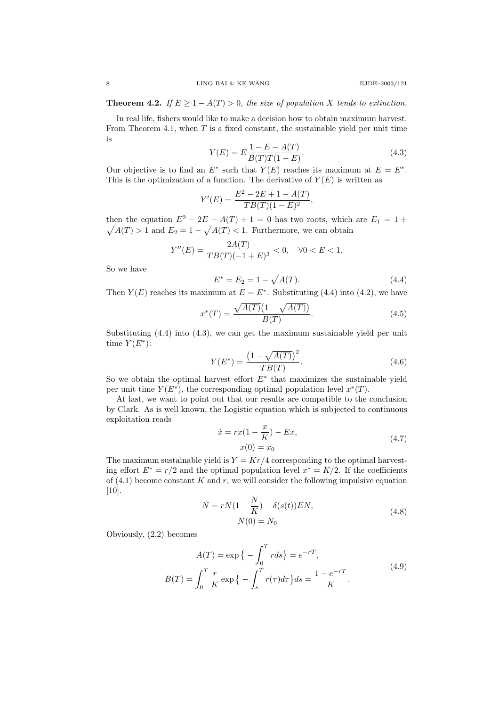**Theorem 4.2.** If  $E \ge 1 - A(T) > 0$ , the size of population X tends to extinction.

In real life, fishers would like to make a decision how to obtain maximum harvest. From Theorem 4.1, when  $T$  is a fixed constant, the sustainable yield per unit time is

$$
Y(E) = E \frac{1 - E - A(T)}{B(T)T(1 - E)}.
$$
\n(4.3)

Our objective is to find an  $E^*$  such that  $Y(E)$  reaches its maximum at  $E = E^*$ . This is the optimization of a function. The derivative of  $Y(E)$  is written as

$$
Y'(E) = \frac{E^2 - 2E + 1 - A(T)}{TB(T)(1 - E)^2},
$$

then the equation  $E^2 - 2E - A(T) + 1 = 0$  has two roots, which are  $E_1 = 1 +$  $\sqrt{A(T)} > 1$  and  $E_2 = 1 - \sqrt{A(T)} < 1$ . Furthermore, we can obtain

$$
Y''(E) = \frac{2A(T)}{TB(T)(-1+E)^3} < 0, \quad \forall 0 < E < 1.
$$

So we have

$$
E^* = E_2 = 1 - \sqrt{A(T)}.
$$
\n(4.4)

Then  $Y(E)$  reaches its maximum at  $E = E^*$ . Substituting (4.4) into (4.2), we have

$$
x^*(T) = \frac{\sqrt{A(T)}(1 - \sqrt{A(T)})}{B(T)}.
$$
\n(4.5)

Substituting (4.4) into (4.3), we can get the maximum sustainable yield per unit time  $Y(E^*)$ :

$$
Y(E^*) = \frac{\left(1 - \sqrt{A(T)}\right)^2}{TB(T)}.
$$
\n(4.6)

So we obtain the optimal harvest effort  $E^*$  that maximizes the sustainable yield per unit time  $Y(E^*)$ , the corresponding optimal population level  $x^*(T)$ .

At last, we want to point out that our results are compatible to the conclusion by Clark. As is well known, the Logistic equation which is subjected to continuous exploitation reads

$$
\dot{x} = rx(1 - \frac{x}{K}) - Ex,\nx(0) = x_0
$$
\n(4.7)

The maximum sustainable yield is  $Y = Kr/4$  corresponding to the optimal harvesting effort  $E^* = r/2$  and the optimal population level  $x^* = K/2$ . If the coefficients of  $(4.1)$  become constant K and r, we will consider the following impulsive equation [10].

$$
\dot{N} = rN(1 - \frac{N}{K}) - \delta(s(t))EN,
$$
\n
$$
N(0) = N_0
$$
\n(4.8)

Obviously, (2.2) becomes

$$
A(T) = \exp\{-\int_0^T r ds\} = e^{-rT},
$$
  
\n
$$
B(T) = \int_0^T \frac{r}{K} \exp\{-\int_s^T r(\tau) d\tau\} ds = \frac{1 - e^{-rT}}{K}.
$$
\n(4.9)